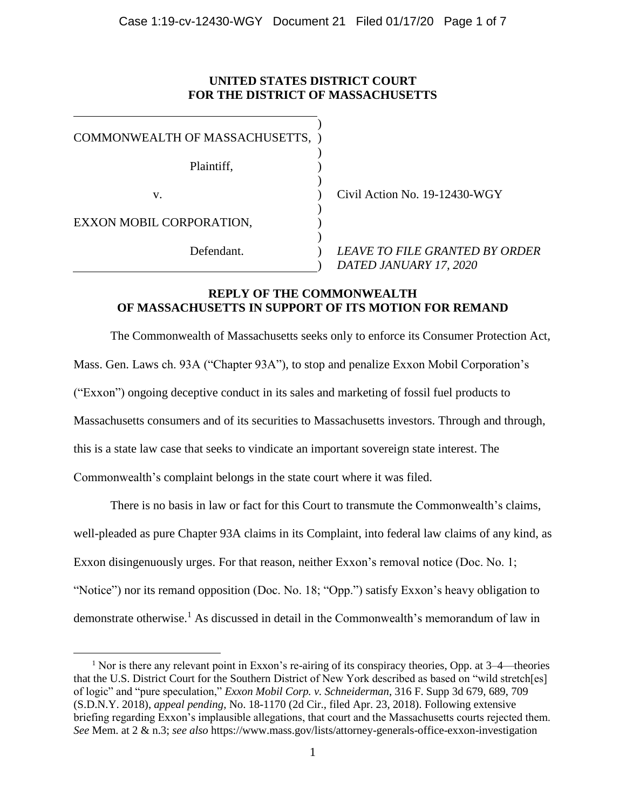## **UNITED STATES DISTRICT COURT FOR THE DISTRICT OF MASSACHUSETTS**

| COMMONWEALTH OF MASSACHUSETTS, ) |                                                                 |
|----------------------------------|-----------------------------------------------------------------|
| Plaintiff,                       |                                                                 |
| v.                               | Civil Action No. 19-12430-WGY                                   |
| EXXON MOBIL CORPORATION,         |                                                                 |
| Defendant.                       | <b>LEAVE TO FILE GRANTED BY ORDER</b><br>DATED JANUARY 17, 2020 |

# **REPLY OF THE COMMONWEALTH OF MASSACHUSETTS IN SUPPORT OF ITS MOTION FOR REMAND**

The Commonwealth of Massachusetts seeks only to enforce its Consumer Protection Act, Mass. Gen. Laws ch. 93A ("Chapter 93A"), to stop and penalize Exxon Mobil Corporation's ("Exxon") ongoing deceptive conduct in its sales and marketing of fossil fuel products to Massachusetts consumers and of its securities to Massachusetts investors. Through and through, this is a state law case that seeks to vindicate an important sovereign state interest. The Commonwealth's complaint belongs in the state court where it was filed.

There is no basis in law or fact for this Court to transmute the Commonwealth's claims, well-pleaded as pure Chapter 93A claims in its Complaint, into federal law claims of any kind, as Exxon disingenuously urges. For that reason, neither Exxon's removal notice (Doc. No. 1; "Notice") nor its remand opposition (Doc. No. 18; "Opp.") satisfy Exxon's heavy obligation to demonstrate otherwise. <sup>1</sup> As discussed in detail in the Commonwealth's memorandum of law in

<sup>&</sup>lt;sup>1</sup> Nor is there any relevant point in Exxon's re-airing of its conspiracy theories, Opp. at  $3-4$ —theories that the U.S. District Court for the Southern District of New York described as based on "wild stretch[es] of logic" and "pure speculation," *Exxon Mobil Corp. v. Schneiderman*, 316 F. Supp 3d 679, 689, 709 (S.D.N.Y. 2018), *appeal pending*, No. 18-1170 (2d Cir., filed Apr. 23, 2018). Following extensive briefing regarding Exxon's implausible allegations, that court and the Massachusetts courts rejected them. *See* Mem. at 2 & n.3; *see also* https://www.mass.gov/lists/attorney-generals-office-exxon-investigation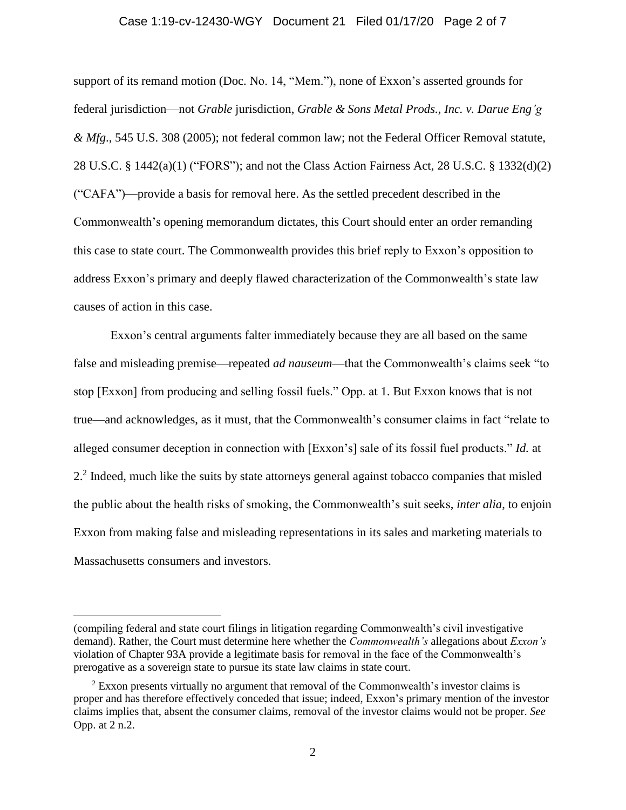#### Case 1:19-cv-12430-WGY Document 21 Filed 01/17/20 Page 2 of 7

support of its remand motion (Doc. No. 14, "Mem."), none of Exxon's asserted grounds for federal jurisdiction—not *Grable* jurisdiction, *Grable & Sons Metal Prods., Inc. v. Darue Eng'g & Mfg*., 545 U.S. 308 (2005); not federal common law; not the Federal Officer Removal statute, 28 U.S.C. § 1442(a)(1) ("FORS"); and not the Class Action Fairness Act, 28 U.S.C. § 1332(d)(2) ("CAFA")—provide a basis for removal here. As the settled precedent described in the Commonwealth's opening memorandum dictates, this Court should enter an order remanding this case to state court. The Commonwealth provides this brief reply to Exxon's opposition to address Exxon's primary and deeply flawed characterization of the Commonwealth's state law causes of action in this case.

Exxon's central arguments falter immediately because they are all based on the same false and misleading premise—repeated *ad nauseum*—that the Commonwealth's claims seek "to stop [Exxon] from producing and selling fossil fuels." Opp. at 1. But Exxon knows that is not true—and acknowledges, as it must, that the Commonwealth's consumer claims in fact "relate to alleged consumer deception in connection with [Exxon's] sale of its fossil fuel products." *Id.* at 2.<sup>2</sup> Indeed, much like the suits by state attorneys general against tobacco companies that misled the public about the health risks of smoking, the Commonwealth's suit seeks, *inter alia*, to enjoin Exxon from making false and misleading representations in its sales and marketing materials to Massachusetts consumers and investors.

<sup>(</sup>compiling federal and state court filings in litigation regarding Commonwealth's civil investigative demand). Rather, the Court must determine here whether the *Commonwealth's* allegations about *Exxon's* violation of Chapter 93A provide a legitimate basis for removal in the face of the Commonwealth's prerogative as a sovereign state to pursue its state law claims in state court.

 $2$  Exxon presents virtually no argument that removal of the Commonwealth's investor claims is proper and has therefore effectively conceded that issue; indeed, Exxon's primary mention of the investor claims implies that, absent the consumer claims, removal of the investor claims would not be proper. *See*  Opp. at 2 n.2.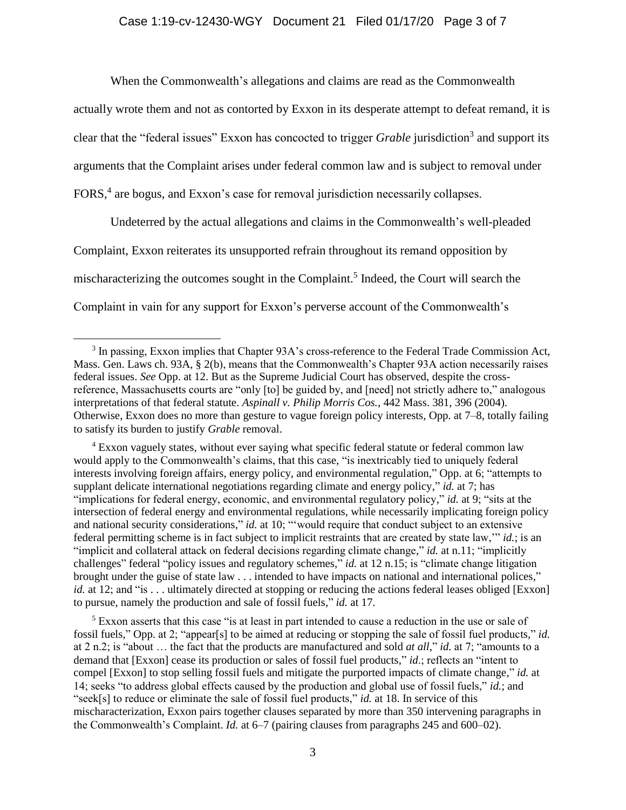When the Commonwealth's allegations and claims are read as the Commonwealth

actually wrote them and not as contorted by Exxon in its desperate attempt to defeat remand, it is clear that the "federal issues" Exxon has concocted to trigger *Grable* jurisdiction 3 and support its arguments that the Complaint arises under federal common law and is subject to removal under FORS,<sup>4</sup> are bogus, and Exxon's case for removal jurisdiction necessarily collapses.

Undeterred by the actual allegations and claims in the Commonwealth's well-pleaded Complaint, Exxon reiterates its unsupported refrain throughout its remand opposition by mischaracterizing the outcomes sought in the Complaint. 5 Indeed, the Court will search the Complaint in vain for any support for Exxon's perverse account of the Commonwealth's

 $\overline{a}$ 

<sup>4</sup> Exxon vaguely states, without ever saying what specific federal statute or federal common law would apply to the Commonwealth's claims, that this case, "is inextricably tied to uniquely federal interests involving foreign affairs, energy policy, and environmental regulation," Opp. at 6; "attempts to supplant delicate international negotiations regarding climate and energy policy," *id.* at 7; has "implications for federal energy, economic, and environmental regulatory policy," *id.* at 9; "sits at the intersection of federal energy and environmental regulations, while necessarily implicating foreign policy and national security considerations," *id.* at 10; "'would require that conduct subject to an extensive federal permitting scheme is in fact subject to implicit restraints that are created by state law,'" *id.*; is an "implicit and collateral attack on federal decisions regarding climate change," *id.* at n.11; "implicitly challenges" federal "policy issues and regulatory schemes," *id.* at 12 n.15; is "climate change litigation brought under the guise of state law . . . intended to have impacts on national and international polices," *id.* at 12; and "is . . . ultimately directed at stopping or reducing the actions federal leases obliged [Exxon] to pursue, namely the production and sale of fossil fuels," *id.* at 17.

 $<sup>5</sup>$  Exxon asserts that this case "is at least in part intended to cause a reduction in the use or sale of</sup> fossil fuels," Opp. at 2; "appear[s] to be aimed at reducing or stopping the sale of fossil fuel products," *id.*  at 2 n.2; is "about … the fact that the products are manufactured and sold *at all*," *id.* at 7; "amounts to a demand that [Exxon] cease its production or sales of fossil fuel products," *id*.; reflects an "intent to compel [Exxon] to stop selling fossil fuels and mitigate the purported impacts of climate change," *id.* at 14; seeks "to address global effects caused by the production and global use of fossil fuels," *id.*; and "seek[s] to reduce or eliminate the sale of fossil fuel products," *id.* at 18. In service of this mischaracterization, Exxon pairs together clauses separated by more than 350 intervening paragraphs in the Commonwealth's Complaint. *Id.* at 6–7 (pairing clauses from paragraphs 245 and 600–02).

<sup>&</sup>lt;sup>3</sup> In passing, Exxon implies that Chapter 93A's cross-reference to the Federal Trade Commission Act, Mass. Gen. Laws ch. 93A, § 2(b), means that the Commonwealth's Chapter 93A action necessarily raises federal issues. *See* Opp. at 12. But as the Supreme Judicial Court has observed, despite the crossreference, Massachusetts courts are "only [to] be guided by, and [need] not strictly adhere to," analogous interpretations of that federal statute. *Aspinall v. Philip Morris Cos.*, 442 Mass. 381, 396 (2004). Otherwise, Exxon does no more than gesture to vague foreign policy interests, Opp. at 7–8, totally failing to satisfy its burden to justify *Grable* removal.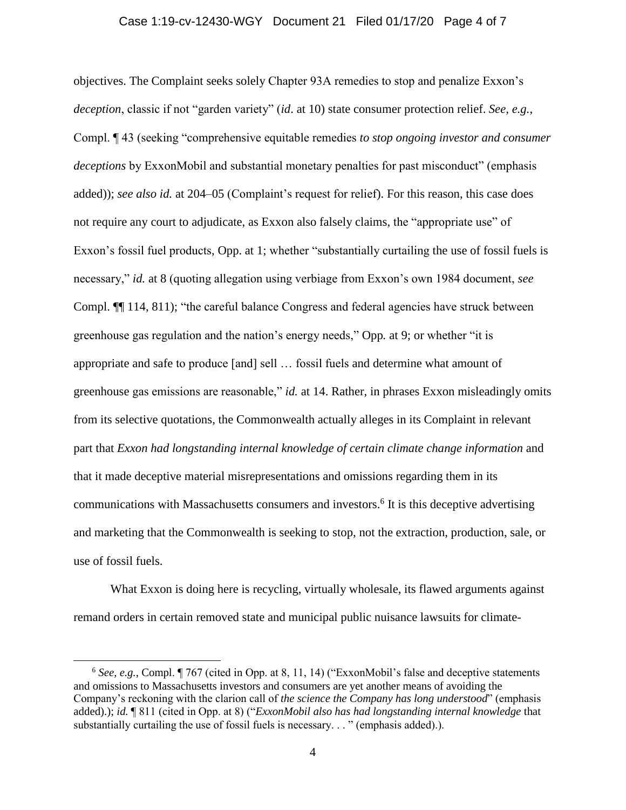#### Case 1:19-cv-12430-WGY Document 21 Filed 01/17/20 Page 4 of 7

objectives. The Complaint seeks solely Chapter 93A remedies to stop and penalize Exxon's *deception*, classic if not "garden variety" (*id*. at 10) state consumer protection relief. *See, e.g.*, Compl. ¶ 43 (seeking "comprehensive equitable remedies *to stop ongoing investor and consumer deceptions* by ExxonMobil and substantial monetary penalties for past misconduct" (emphasis added)); *see also id.* at 204–05 (Complaint's request for relief). For this reason, this case does not require any court to adjudicate, as Exxon also falsely claims, the "appropriate use" of Exxon's fossil fuel products, Opp. at 1; whether "substantially curtailing the use of fossil fuels is necessary," *id.* at 8 (quoting allegation using verbiage from Exxon's own 1984 document, *see*  Compl. ¶¶ 114, 811); "the careful balance Congress and federal agencies have struck between greenhouse gas regulation and the nation's energy needs," Opp*.* at 9; or whether "it is appropriate and safe to produce [and] sell … fossil fuels and determine what amount of greenhouse gas emissions are reasonable," *id.* at 14. Rather, in phrases Exxon misleadingly omits from its selective quotations, the Commonwealth actually alleges in its Complaint in relevant part that *Exxon had longstanding internal knowledge of certain climate change information* and that it made deceptive material misrepresentations and omissions regarding them in its communications with Massachusetts consumers and investors. 6 It is this deceptive advertising and marketing that the Commonwealth is seeking to stop, not the extraction, production, sale, or use of fossil fuels.

What Exxon is doing here is recycling, virtually wholesale, its flawed arguments against remand orders in certain removed state and municipal public nuisance lawsuits for climate-

<sup>6</sup> *See, e.g.*, Compl. ¶ 767 (cited in Opp. at 8, 11, 14) ("ExxonMobil's false and deceptive statements and omissions to Massachusetts investors and consumers are yet another means of avoiding the Company's reckoning with the clarion call of *the science the Company has long understood*" (emphasis added).); *id.* ¶ 811 (cited in Opp. at 8) ("*ExxonMobil also has had longstanding internal knowledge* that substantially curtailing the use of fossil fuels is necessary..." (emphasis added).).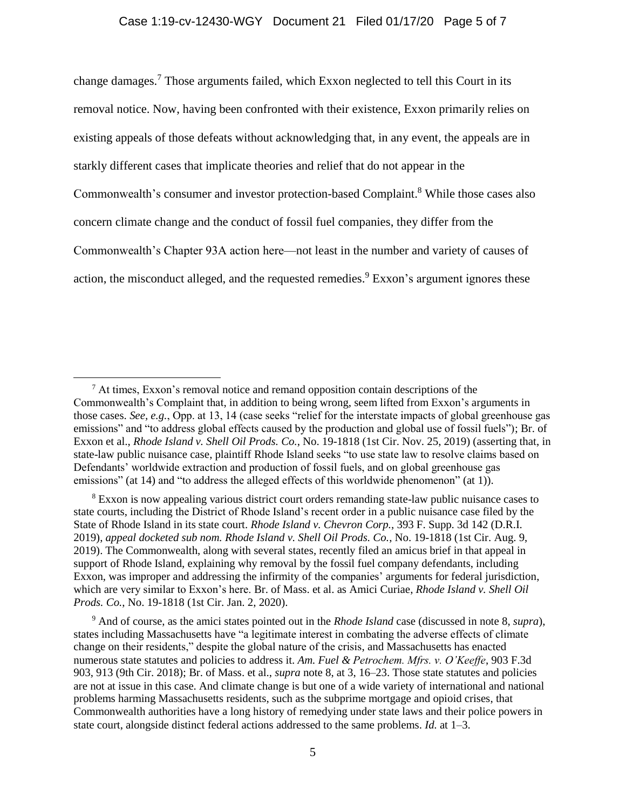<span id="page-4-0"></span>change damages.<sup>7</sup> Those arguments failed, which Exxon neglected to tell this Court in its removal notice. Now, having been confronted with their existence, Exxon primarily relies on existing appeals of those defeats without acknowledging that, in any event, the appeals are in starkly different cases that implicate theories and relief that do not appear in the Commonwealth's consumer and investor protection-based Complaint.<sup>8</sup> While those cases also concern climate change and the conduct of fossil fuel companies, they differ from the Commonwealth's Chapter 93A action here—not least in the number and variety of causes of action, the misconduct alleged, and the requested remedies.<sup>9</sup> Exxon's argument ignores these

 $<sup>7</sup>$  At times, Exxon's removal notice and remand opposition contain descriptions of the</sup> Commonwealth's Complaint that, in addition to being wrong, seem lifted from Exxon's arguments in those cases. *See, e.g.*, Opp. at 13, 14 (case seeks "relief for the interstate impacts of global greenhouse gas emissions" and "to address global effects caused by the production and global use of fossil fuels"); Br. of Exxon et al., *Rhode Island v. Shell Oil Prods. Co.*, No. 19-1818 (1st Cir. Nov. 25, 2019) (asserting that, in state-law public nuisance case, plaintiff Rhode Island seeks "to use state law to resolve claims based on Defendants' worldwide extraction and production of fossil fuels, and on global greenhouse gas emissions" (at 14) and "to address the alleged effects of this worldwide phenomenon" (at 1)).

<sup>&</sup>lt;sup>8</sup> Exxon is now appealing various district court orders remanding state-law public nuisance cases to state courts, including the District of Rhode Island's recent order in a public nuisance case filed by the State of Rhode Island in its state court. *Rhode Island v. Chevron Corp.*, 393 F. Supp. 3d 142 (D.R.I. 2019), *appeal docketed sub nom. Rhode Island v. Shell Oil Prods. Co.*, No. 19-1818 (1st Cir. Aug. 9, 2019). The Commonwealth, along with several states, recently filed an amicus brief in that appeal in support of Rhode Island, explaining why removal by the fossil fuel company defendants, including Exxon, was improper and addressing the infirmity of the companies' arguments for federal jurisdiction, which are very similar to Exxon's here. Br. of Mass. et al. as Amici Curiae, *Rhode Island v. Shell Oil Prods. Co.*, No. 19-1818 (1st Cir. Jan. 2, 2020).

<sup>9</sup> And of course, as the amici states pointed out in the *Rhode Island* case (discussed in note [8,](#page-4-0) *supra*), states including Massachusetts have "a legitimate interest in combating the adverse effects of climate change on their residents," despite the global nature of the crisis, and Massachusetts has enacted numerous state statutes and policies to address it. *Am. Fuel & Petrochem. Mfrs. v. O'Keeffe*, 903 F.3d 903, 913 (9th Cir. 2018); Br. of Mass. et al., *supra* note [8,](#page-4-0) at 3, 16–23. Those state statutes and policies are not at issue in this case. And climate change is but one of a wide variety of international and national problems harming Massachusetts residents, such as the subprime mortgage and opioid crises, that Commonwealth authorities have a long history of remedying under state laws and their police powers in state court, alongside distinct federal actions addressed to the same problems. *Id.* at 1–3.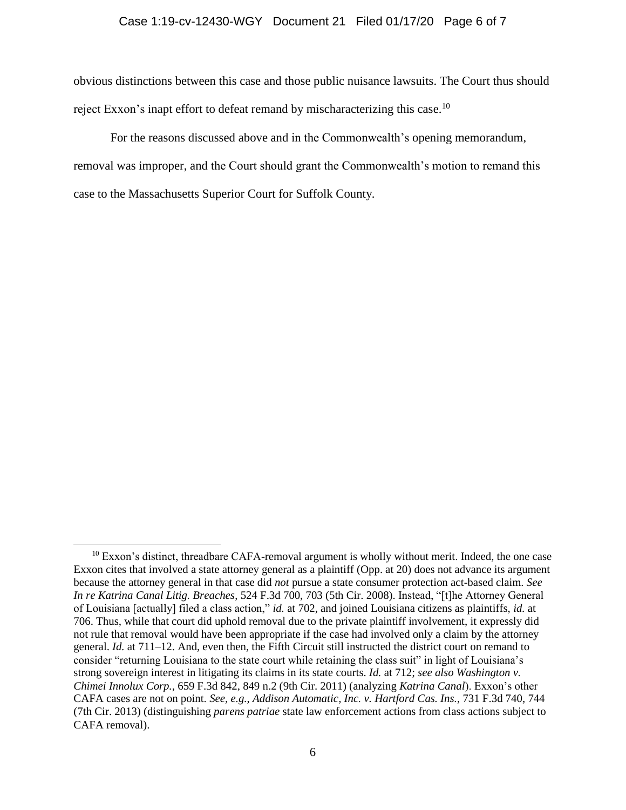#### Case 1:19-cv-12430-WGY Document 21 Filed 01/17/20 Page 6 of 7

obvious distinctions between this case and those public nuisance lawsuits. The Court thus should reject Exxon's inapt effort to defeat remand by mischaracterizing this case.<sup>10</sup>

For the reasons discussed above and in the Commonwealth's opening memorandum, removal was improper, and the Court should grant the Commonwealth's motion to remand this case to the Massachusetts Superior Court for Suffolk County.

<sup>&</sup>lt;sup>10</sup> Exxon's distinct, threadbare CAFA-removal argument is wholly without merit. Indeed, the one case Exxon cites that involved a state attorney general as a plaintiff (Opp. at 20) does not advance its argument because the attorney general in that case did *not* pursue a state consumer protection act-based claim. *See In re Katrina Canal Litig. Breaches*, 524 F.3d 700, 703 (5th Cir. 2008). Instead, "[t]he Attorney General of Louisiana [actually] filed a class action," *id.* at 702, and joined Louisiana citizens as plaintiffs, *id.* at 706. Thus, while that court did uphold removal due to the private plaintiff involvement, it expressly did not rule that removal would have been appropriate if the case had involved only a claim by the attorney general. *Id.* at 711–12. And, even then, the Fifth Circuit still instructed the district court on remand to consider "returning Louisiana to the state court while retaining the class suit" in light of Louisiana's strong sovereign interest in litigating its claims in its state courts. *Id.* at 712; *see also Washington v. Chimei Innolux Corp.*, 659 F.3d 842, 849 n.2 (9th Cir. 2011) (analyzing *Katrina Canal*). Exxon's other CAFA cases are not on point. *See, e.g.*, *Addison Automatic, Inc. v. Hartford Cas. Ins.*, 731 F.3d 740, 744 (7th Cir. 2013) (distinguishing *parens patriae* state law enforcement actions from class actions subject to CAFA removal).